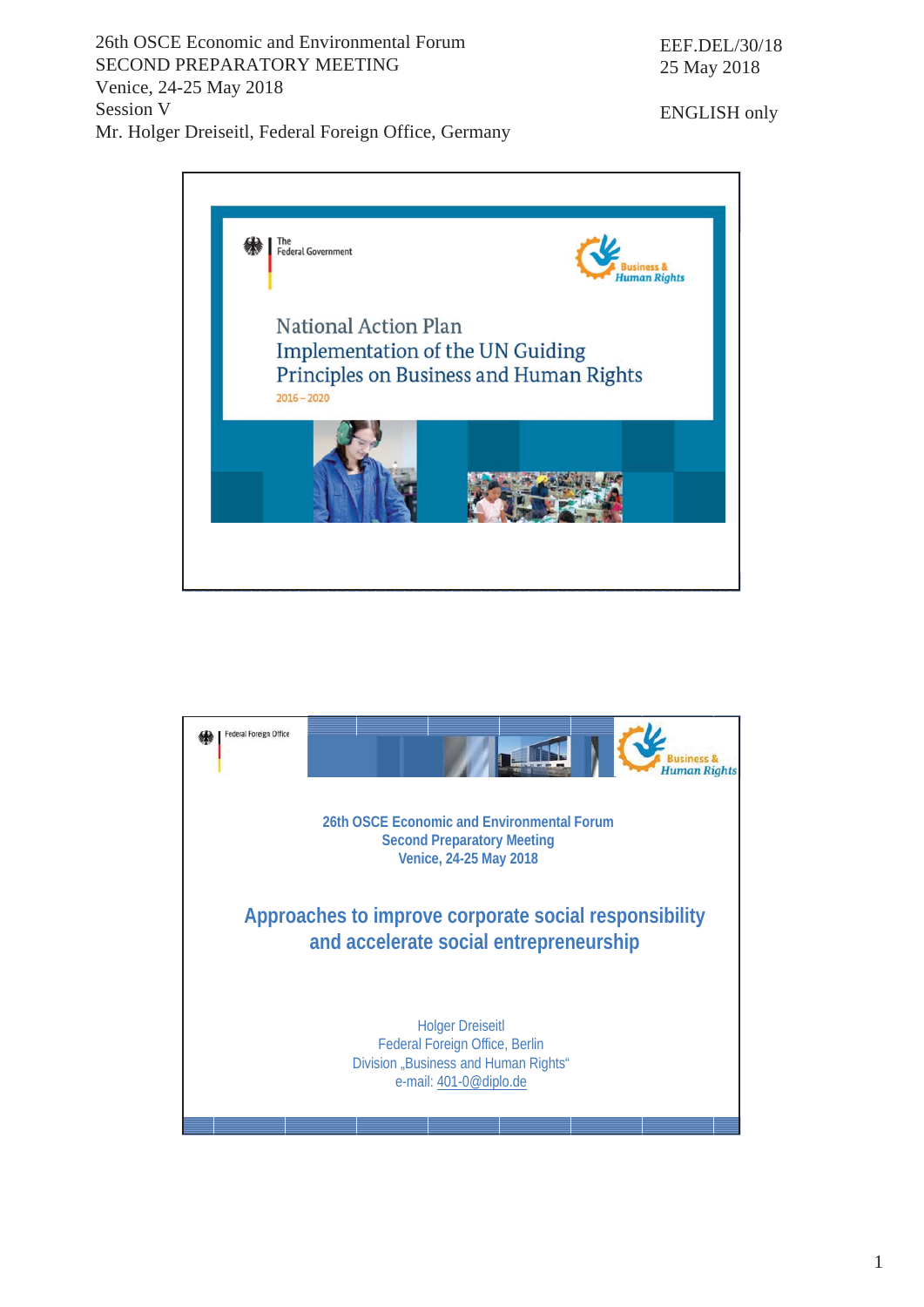26th OSCE Economic and Environmental Forum SECOND PREPARATORY MEETING Venice, 24-25 May 2018 Session V Mr. Holger Dreiseitl, Federal Foreign Office, Germany

ENGLISH only



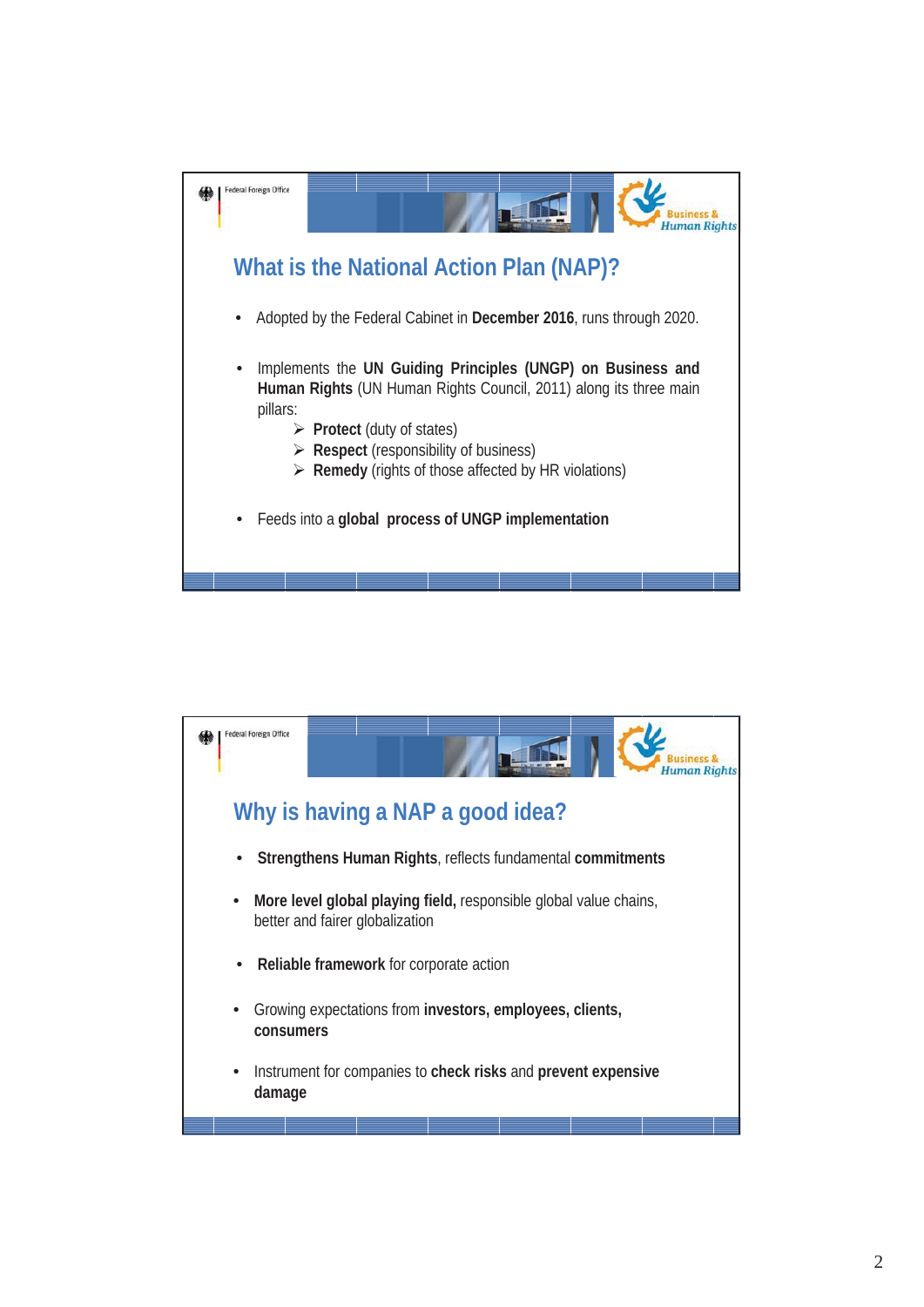

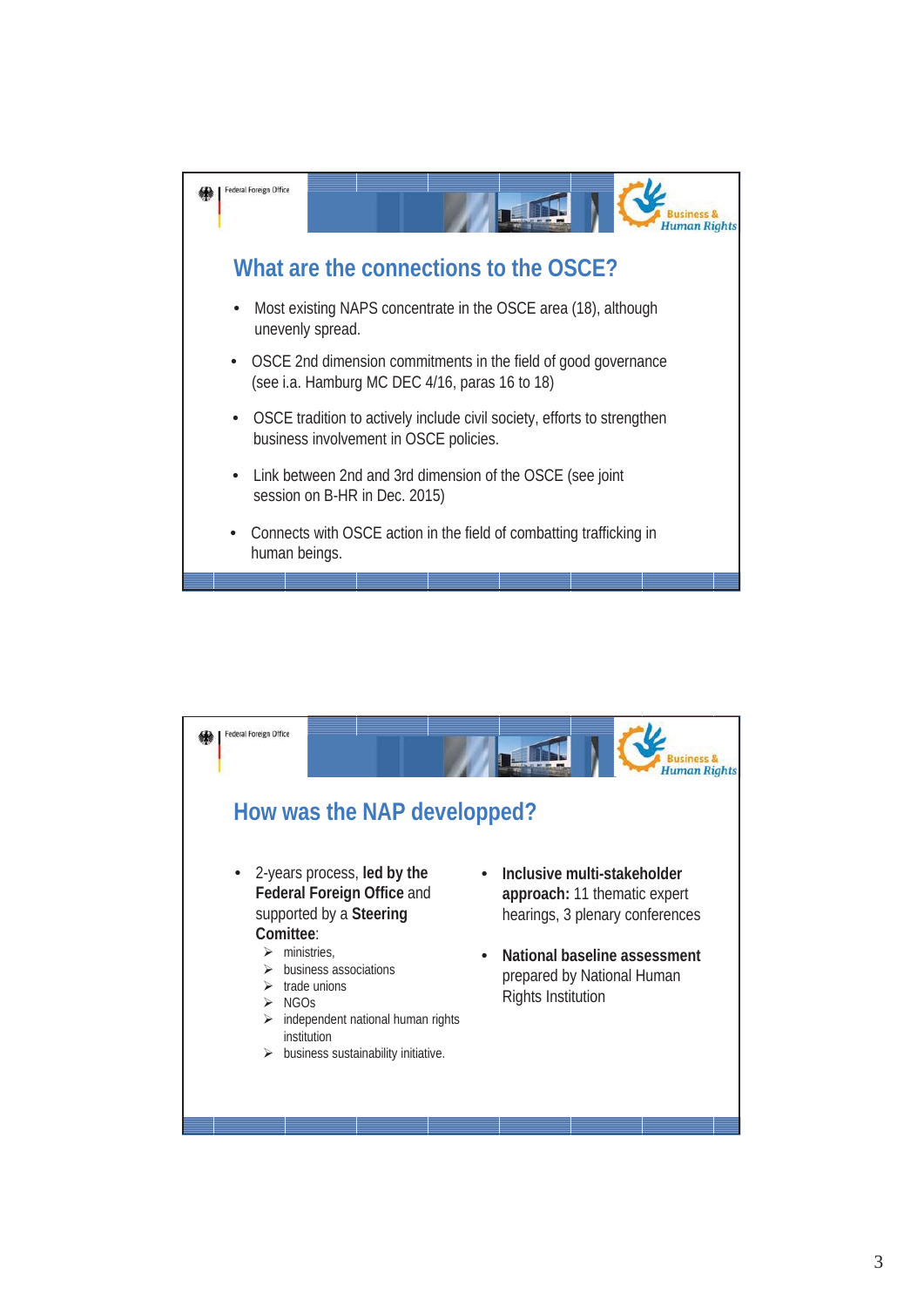

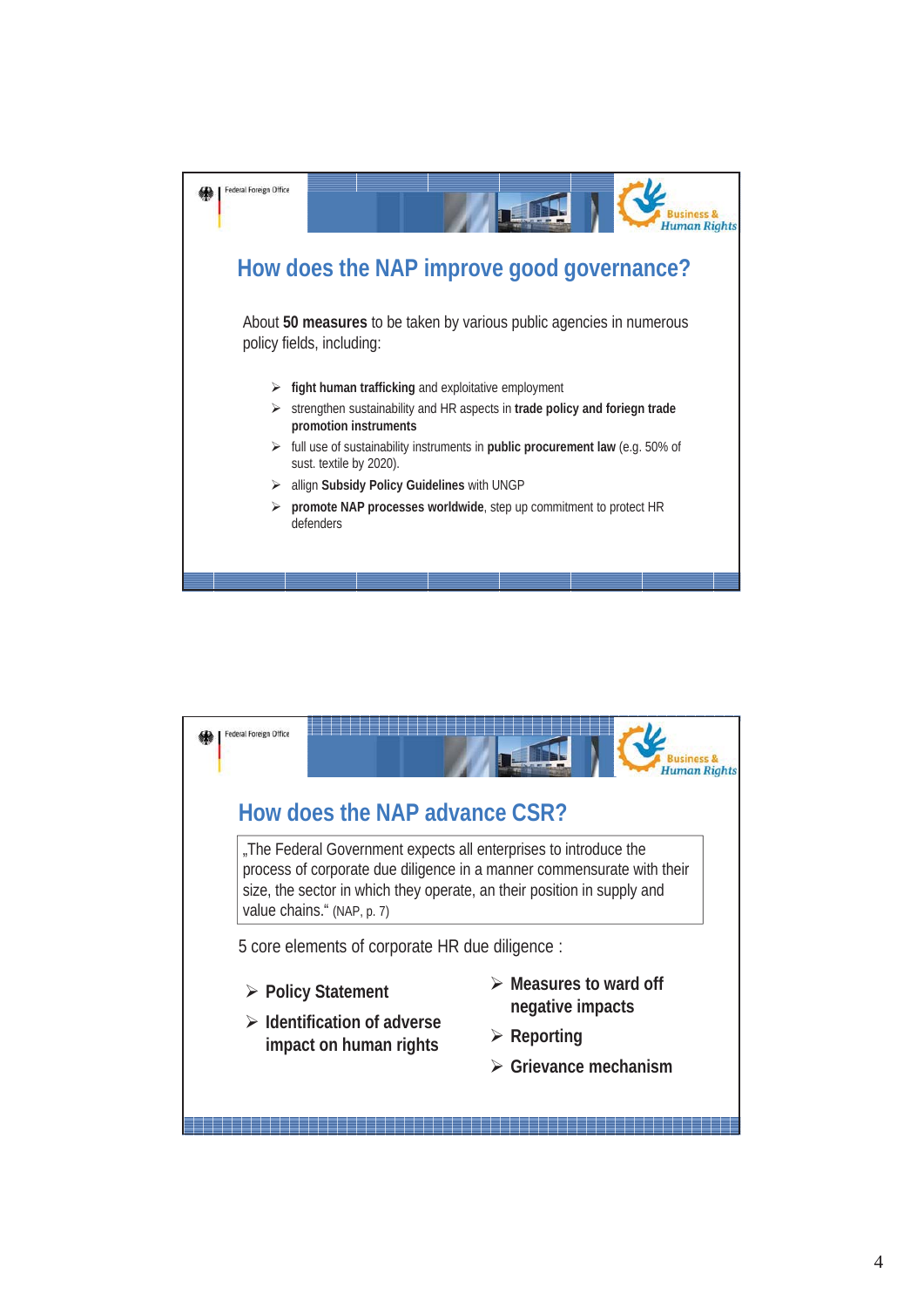

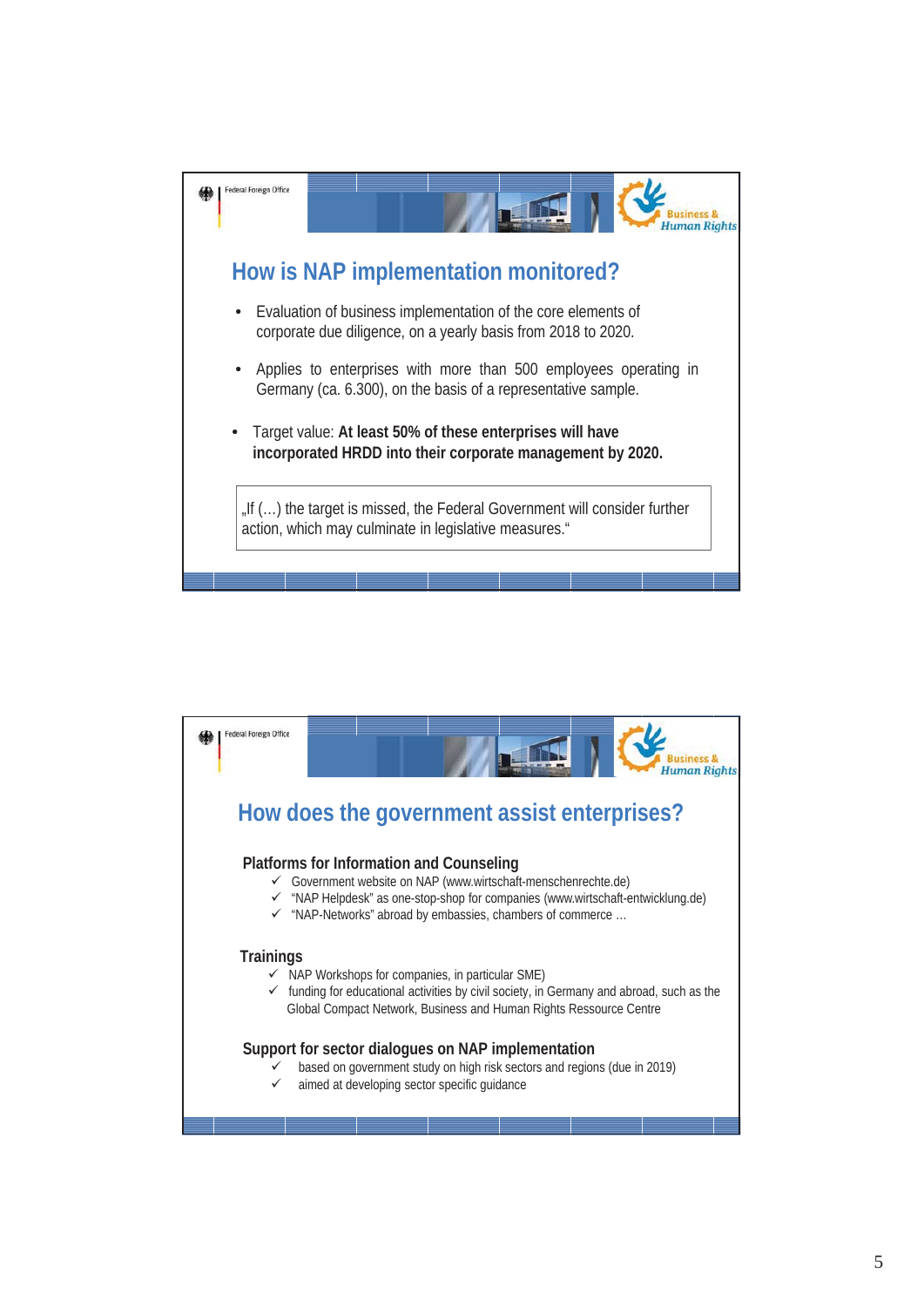